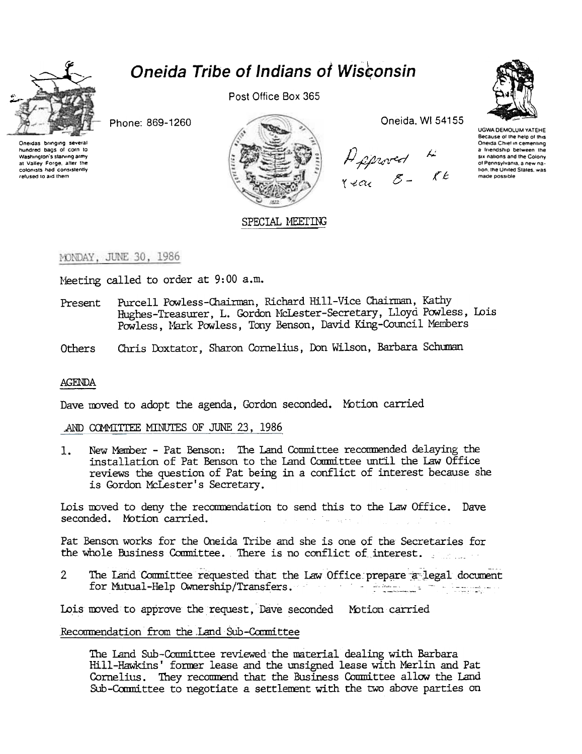

# **Oneida Tribe of Indians of Wisconsin**

Phone: 869-1260



Post Office Box 365



Oneida, WI 54155

Approved 4<br>Rear 8 - RE



UGWA DEMOLUM YATEHE Because of the help of this Oneida Chief in cementing a friendship between the six nations and the Colony of Pennsylvania, a new nation, the United States, was made possible

MONDAY, JUNE 30, 1986

Meeting called to order at 9:00 a.m.

- Purcell Powless-Chairman, Richard Hill-Vice Chairman, Kathy Present Hughes-Treasurer, L. Gordon McLester-Secretary, Lloyd Powless, Lois Powless, Mark Powless, Tony Benson, David King-Council Members
- Chris Doxtator, Sharon Cornelius, Don Wilson, Barbara Schuman Others

#### **AGENDA**

Dave moved to adopt the agenda, Gordon seconded. Motion carried

#### AND COMMITTEE MINUTES OF JUNE 23, 1986

New Member - Pat Benson: The Land Committee recommended delaying the  $\mathbf{1}$ . installation of Pat Benson to the Land Committee until the Law Office reviews the question of Pat being in a conflict of interest because she is Gordon McLester's Secretary.

Lois moved to deny the recommendation to send this to the Law Office. Dave seconded. Motion carried. and the following the

Pat Benson works for the Oneida Tribe and she is one of the Secretaries for the whole Business Committee. There is no conflict of interest.

The Land Committee requested that the Law Office prepare a legal document  $2^{\circ}$ for Mutual-Help Ownership/Transfers.

Lois moved to approve the request, Dave seconded Motion carried

#### Recommendation from the Land Sub-Committee

The Land Sub-Committee reviewed the material dealing with Barbara Hill-Hawkins' former lease and the unsigned lease with Merlin and Pat Cornelius. They recommend that the Business Committee allow the Land Sub-Committee to negotiate a settlement with the two above parties on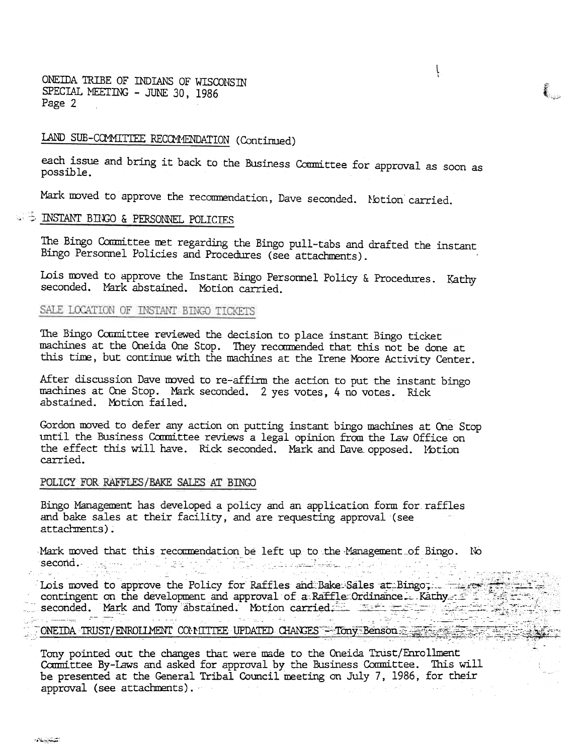ONEIDA TRIBE OF INDIANS OF WISCONSTN SPECIAL MEETING - JUNE 30, 1986 Page 2

# LAND SUB-COMMITTEE RECOMMENDATION (Continued)

each issue and bring it back to the Business Committee for approval as soon as possible.

l \

",  $\mathbf{C}$ 

Mark moved to approve the recommendation, Dave seconded. Notion carried.

### I:::: INSTANT BINGO & PERSONNEL POLICIES

The Bingo Committee met regarding the Bingo pull-tabs and drafted the instant Bingo Personnel Policies and Procedures (see attachments).

Lois moved to approve the Instant Bingo Personnel Policy & Procedures. Kathy<br>seconded. Mark abstained. Motion carried.

#### SALE LOCATION OF INSTANT BINGO TICKETS

The Bingo Committee reviewed the decision to place instant Bingo ticket machines at the Oneida One Stop. They reccmrended that this not be done at this time, but continue with the machines at the Irene Moore Activity Center.

After discussion Dave moved to re-affirm the action to put the instant bingo machines at One Stop. Mark seconded. 2 yes votes, 4 no votes. Rick abstained. Mbtion failed.

Gordon moved to defer any action on putting instant bingo machines at One Stop until the Business Committee reviews a legal opinion from the Law Office on the effect this will have. Rick seconded. Mark and Dave opposed. Motion carried.

#### POLICY FOR RAFFLES/BAKE SALES AT BINGO

Bingo Management has developed a policy and an application form for raffles and bake sales at their facility, and are requesting approval (see attachments).

Mark moved that this recommendation be left up to the Management of Bingo. No seconG.- -:c -"- ,:- c --~ ,-",- cc".~

~ '- -.~- --~ -" -.' -- Lois moved to approve the Policy for Kattles and Bake Sales at Bingo.<br>
contingent on the development and approval of a Raffle Ordinance. Kathy and Seconded. Mark and Tony abstained. Motion carried. خواد السنطين والاباد Australian in

#### ONE IDA TRUST/ENROLLMENT COMITTEE UPDATED CHANGES - Tony Benson

Tony pointed out the changes that were made to the Oneida Trust/Enrollment Committee By-Laws and asked for approval by the Business Committee. This will be presented at the General Tribal Council meeting on July 7, 1986, for their approval (see attachments).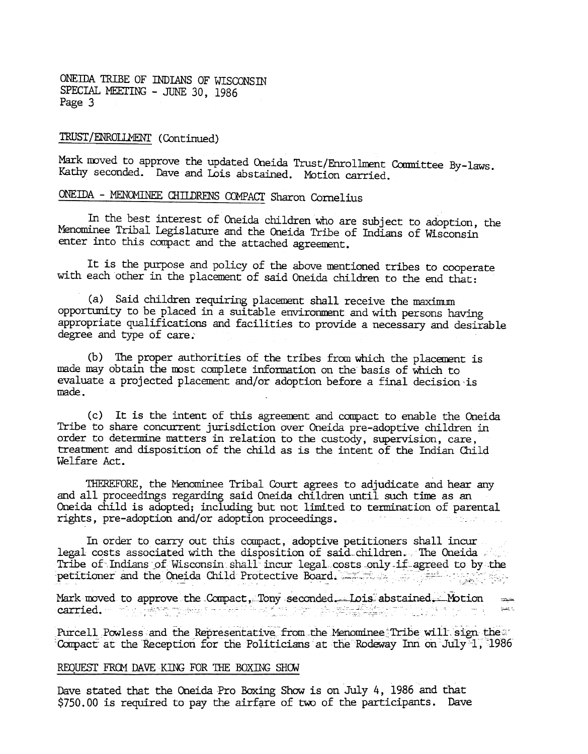ONEIDA TRIBE OF INDIANS OF WISCONSIN SPECIAL MEETING - JUNE 30, 1986 Page 3

### TRUST/ENROLLMENT (Continued)

Mark moved to approve the updated Oneida Trust/Enrollment Committee By-laws. Kathy seconded. Dave and Lois abstained. Motion carried.

# ONEIDA - MENOMINEE CHILDRENS COMPACT Sharon Cornelius

In the best interest of Oneida children who are subject to adoption, the Menominee Tribal Legislature and the Oneida Tribe of Indians of Wisconsin enter into this compact and the attached agreement.

It is the purpose and policy of the above mentioned tribes to cooperate with each other in the placement of said Oneida children to the end that:

(a) Said dhildren requiring placement shall receive the maximum opportunity to be placed in a suitable environment and with persons having appropriate qualifications and facilities to provide a necessary and desirable degree and type of care.'

(b) The proper authorities of the tribes from which the placement is made may obtain the most complete information on the basis of which to evaluate a projected placement and/or adoption before a final decision 'is made.

 $(c)$  It is the intent of this agreement and compact to enable the Oneida Tribe to share concurrent jurisdiction over Oneida pre-adoptive children in order to determine matters in relation to the custody, supervision, care, treatment and disposition of the child as is the intent of the Indian Child Welfare Act.

THEREFORE, the Menominee Tribal Court agrees to adjudicate and hear any and all proceedings regarding said Oneida children until such time as an Oneida child is adopted; including but not limited to termination of parental rights, pre-adoption and/or adoption proceedings.

In order to carry out this compact, adoptive petitioners shall incur legal costs associated with the disposition of said-children. The Oneida Tribe of Indians of Wisconsin shall incur legal costs only if agreed to by the petitioner and the ~~ida Child Protective Board. ,~~::\_~ c:~~,' -:=;-:". .'c .c c- ::c,.-

  $m_{\rm min}$ Mark moved to approve the Compact, Tony seconded. $\dots$  Lois abstain  $\text{carried.}$  ,  $\text{Tr}\left[\frac{1}{2}\right]$  is the positive of  $\mathbb{R}^n$  in the set of  $\mathbb{R}^n$  , in the set of  $\mathbb{R}^n$  is the set of  $\mathbb{R}^n$ ..

Purcell Powless and the Representative from the Menominee':Tribe will sign the Compact at the Reception for the Politicians at the Rodeway Inn on July 1, 1986

#### REQUEST FROM DAVE KING FOR THE BOXING SHOW

Dave stated that the Oneida Pro Boxing Show is on July 4, 1986 and that  $$750.00$  is required to pay the airfare of two of the participants. Dave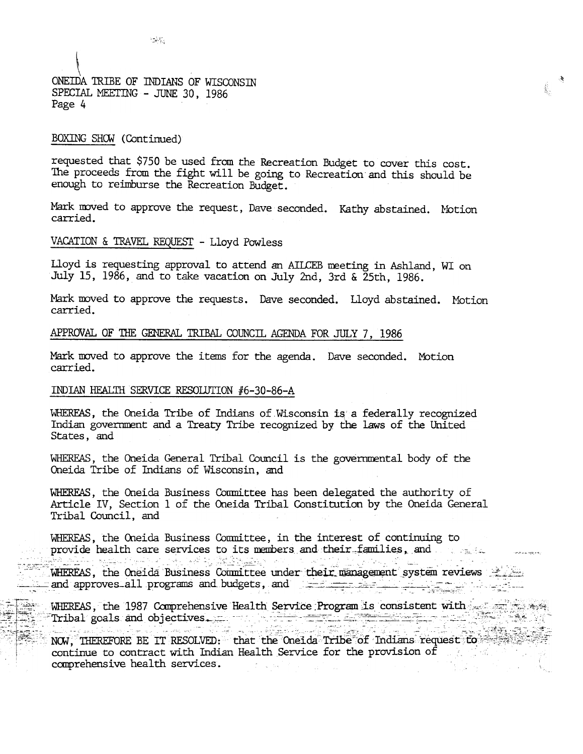ONEIDA TRIBE OF INDIANS OF WISCONSIN SPECIAL MEETING - JUNE 30, 1986 Page 4

 $\mathcal{L}(\mathcal{S})$ 

#### BOXING SHOW (Continued)

حجوبي

requested that \$750 be used from the Recreation Budget to cover this cost. The proceeds from the fight will be going to Recreation and this should be enough to reimburse the Recreation Budget.

Ê.

Mark moved to approve the request, Dave seconded. Kathy abstained. Motion carried.

#### VACATION & TRAVEL REQUEST - Lloyd Powless

Lloyd is requesting approval to attend an AILCEB meeting in Ashland, WI on July 15, 1986, and to take vacation on July 2nd, 3rd & 25th, 1986.

Mark moved to approve the requests. Dave seconded. Lloyd abstained. Motion carried.

### APPROVAL OF THE GENERAL TRIBAL COUNCIL AGENDA FOR JULY 7, 1986

Mark moved to approve the items for the agenda. Dave seconded. Motion carried.

#### INDIAN HEALTH SERVICE RESOLUTION #6-30-86-A

WHEREAS, the Oneida Tribe of Indians of Wisconsin is a federally recognized Indian government and a Treaty Tribe recognized by the laws of the United States, and

WHEREAS, the Oneida General Tribal Council is the governmental body of the Oneida Tribe of Indians of Wisconsin, and

WHEREAS, the Oneida Business Committee has been delegated the authority of Article IV, Section 1 of the Oneida Tribal Constitution by the Oneida General Tribal Council, and

WHEREAS, the Oneida Business Committee, in the interest of continuing to provide health care services to its members and their families, and graphy and take the second with the second control of the second second second second second second second sec WHEREAS, the Oneida Business Committee under their management system reviews and approves all programs and budgets, and

WHEREAS, the 1987 Comprehensive Health Service Program is consistent with the service as Tribal goals and objectives. The contract of the contract of the contract of the contract of the contract of the contract of the contract of the contract of the contract of the contract of the contract of the contract of t

NOW, THEREFORE BE IT RESOLVED: that the Oneida Tribe of Indians request to continue to contract with Indian Health Service for the provision of the state of comprehensive health services.